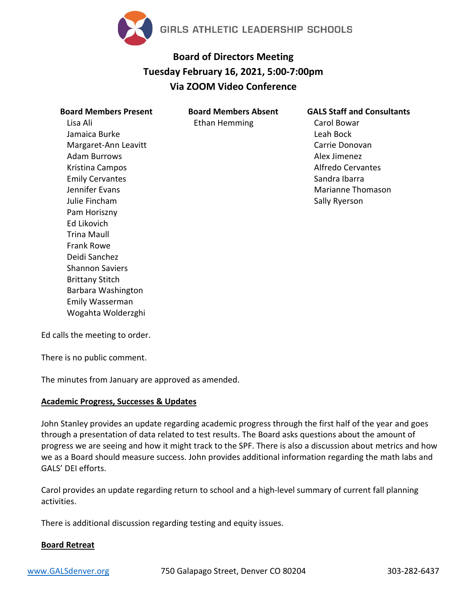

# **Board of Directors Meeting Tuesday February 16, 2021, 5:00-7:00pm Via ZOOM Video Conference**

**Board Members Absent** Ethan Hemming

| <b>Board Members Present</b> |
|------------------------------|
| Lisa Ali                     |
| Jamaica Burke                |
| Margaret-Ann Leavitt         |
| Adam Burrows                 |
| Kristina Campos              |
| <b>Emily Cervantes</b>       |
| Jennifer Evans               |
| Julie Fincham                |
| Pam Horiszny                 |
| Ed Likovich                  |
| Trina Maull                  |
| <b>Frank Rowe</b>            |
| Deidi Sanchez                |
| Shannon Saviers              |
| <b>Brittany Stitch</b>       |
| Barbara Washington           |
| Emily Wasserman              |
| Wogahta Wolderzghi           |

**GALS Staff and Consultants** Carol Bowar Leah Bock Carrie Donovan Alex Jimenez Alfredo Cervantes Sandra Ibarra Marianne Thomason Sally Ryerson

Ed calls the meeting to order.

There is no public comment.

The minutes from January are approved as amended.

## **Academic Progress, Successes & Updates**

John Stanley provides an update regarding academic progress through the first half of the year and goes through a presentation of data related to test results. The Board asks questions about the amount of progress we are seeing and how it might track to the SPF. There is also a discussion about metrics and how we as a Board should measure success. John provides additional information regarding the math labs and GALS' DEI efforts.

Carol provides an update regarding return to school and a high-level summary of current fall planning activities.

There is additional discussion regarding testing and equity issues.

## **Board Retreat**